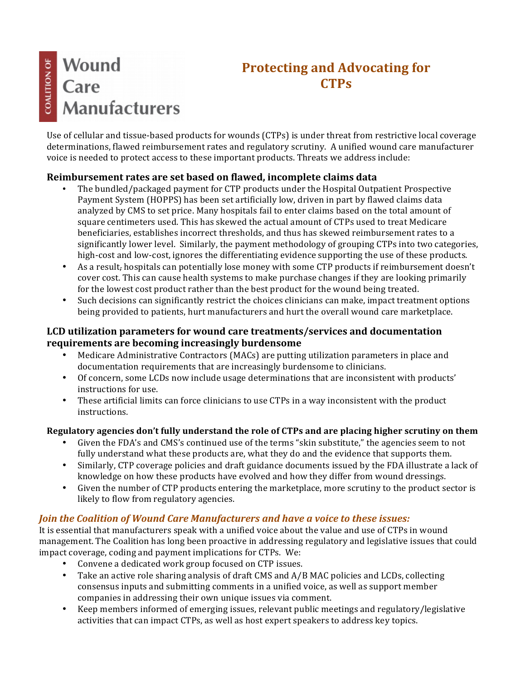# **Wound** Care **Manufacturers**

# **Protecting and Advocating for CTPs**

Use of cellular and tissue-based products for wounds (CTPs) is under threat from restrictive local coverage determinations, flawed reimbursement rates and regulatory scrutiny. A unified wound care manufacturer voice is needed to protect access to these important products. Threats we address include:

# **Reimbursement rates are set based on flawed, incomplete claims data**

- The bundled/packaged payment for CTP products under the Hospital Outpatient Prospective Payment System (HOPPS) has been set artificially low, driven in part by flawed claims data analyzed by CMS to set price. Many hospitals fail to enter claims based on the total amount of square centimeters used. This has skewed the actual amount of CTPs used to treat Medicare beneficiaries, establishes incorrect thresholds, and thus has skewed reimbursement rates to a significantly lower level. Similarly, the payment methodology of grouping CTPs into two categories, high-cost and low-cost, ignores the differentiating evidence supporting the use of these products.
- As a result, hospitals can potentially lose money with some CTP products if reimbursement doesn't cover cost. This can cause health systems to make purchase changes if they are looking primarily for the lowest cost product rather than the best product for the wound being treated.
- Such decisions can significantly restrict the choices clinicians can make, impact treatment options being provided to patients, hurt manufacturers and hurt the overall wound care marketplace.

#### LCD utilization parameters for wound care treatments/services and documentation requirements are becoming increasingly burdensome

- Medicare Administrative Contractors (MACs) are putting utilization parameters in place and documentation requirements that are increasingly burdensome to clinicians.
- Of concern, some LCDs now include usage determinations that are inconsistent with products' instructions for use.
- These artificial limits can force clinicians to use CTPs in a way inconsistent with the product instructions.

#### **Regulatory agencies don't fully understand the role of CTPs and are placing higher scrutiny on them**

- Given the FDA's and CMS's continued use of the terms "skin substitute," the agencies seem to not fully understand what these products are, what they do and the evidence that supports them.
- Similarly, CTP coverage policies and draft guidance documents issued by the FDA illustrate a lack of knowledge on how these products have evolved and how they differ from wound dressings.
- Given the number of CTP products entering the marketplace, more scrutiny to the product sector is likely to flow from regulatory agencies.

## *Join the Coalition of Wound Care Manufacturers and have a voice to these issues:*

It is essential that manufacturers speak with a unified voice about the value and use of CTPs in wound management. The Coalition has long been proactive in addressing regulatory and legislative issues that could impact coverage, coding and payment implications for CTPs. We:

- Convene a dedicated work group focused on CTP issues.
- Take an active role sharing analysis of draft CMS and A/B MAC policies and LCDs, collecting consensus inputs and submitting comments in a unified voice, as well as support member companies in addressing their own unique issues via comment.
- Keep members informed of emerging issues, relevant public meetings and regulatory/legislative activities that can impact CTPs, as well as host expert speakers to address key topics.